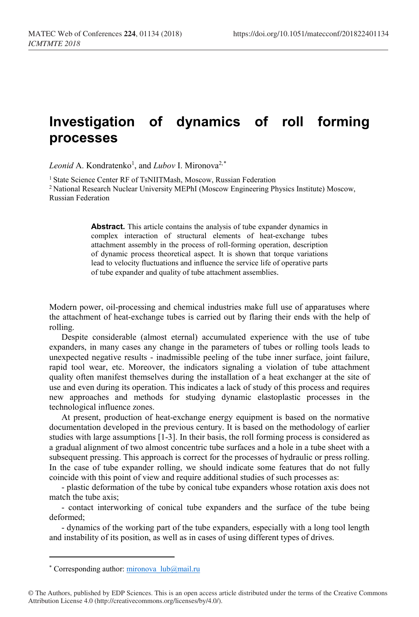## **Investigation of dynamics of roll forming processes**

Leonid A. Kondratenko<sup>1</sup>, and *Lubov* I. Mironova<sup>2,[\\*](#page-0-0)</sup>

<sup>1</sup> State Science Center RF of TsNIITMash, Moscow, Russian Federation 2 National Research Nuclear University MEPhI (Moscow Engineering Physics Institute) Moscow, Russian Federation

> **Abstract.** This article contains the analysis of tube expander dynamics in complex interaction of structural elements of heat-exchange tubes attachment assembly in the process of roll-forming operation, description of dynamic process theoretical aspect. It is shown that torque variations lead to velocity fluctuations and influence the service life of operative parts of tube expander and quality of tube attachment assemblies.

Modern power, oil-processing and chemical industries make full use of apparatuses where the attachment of heat-exchange tubes is carried out by flaring their ends with the help of rolling.

Despite considerable (almost eternal) accumulated experience with the use of tube expanders, in many cases any change in the parameters of tubes or rolling tools leads to unexpected negative results - inadmissible peeling of the tube inner surface, joint failure, rapid tool wear, etc. Moreover, the indicators signaling a violation of tube attachment quality often manifest themselves during the installation of a heat exchanger at the site of use and even during its operation. This indicates a lack of study of this process and requires new approaches and methods for studying dynamic elastoplastic processes in the technological influence zones.

At present, production of heat-exchange energy equipment is based on the normative documentation developed in the previous century. It is based on the methodology of earlier studies with large assumptions [1-3]. In their basis, the roll forming process is considered as a gradual alignment of two almost concentric tube surfaces and a hole in a tube sheet with a subsequent pressing. This approach is correct for the processes of hydraulic or press rolling. In the case of tube expander rolling, we should indicate some features that do not fully coincide with this point of view and require additional studies of such processes as:

- plastic deformation of the tube by conical tube expanders whose rotation axis does not match the tube axis;

- contact interworking of conical tube expanders and the surface of the tube being deformed;

- dynamics of the working part of the tube expanders, especially with a long tool length and instability of its position, as well as in cases of using different types of drives.

 $\overline{a}$ 

<sup>\*</sup> Corresponding author[: mironova\\_lub@mail.ru](mailto:mironova_lub@mail.ru)

<span id="page-0-0"></span><sup>©</sup> The Authors, published by EDP Sciences. This is an open access article distributed under the terms of the Creative Commons Attribution License 4.0 (http://creativecommons.org/licenses/by/4.0/).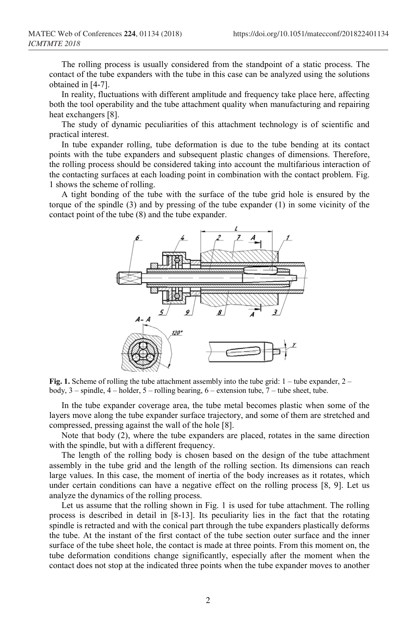The rolling process is usually considered from the standpoint of a static process. The contact of the tube expanders with the tube in this case can be analyzed using the solutions obtained in [4-7].

In reality, fluctuations with different amplitude and frequency take place here, affecting both the tool operability and the tube attachment quality when manufacturing and repairing heat exchangers [8].

The study of dynamic peculiarities of this attachment technology is of scientific and practical interest.

In tube expander rolling, tube deformation is due to the tube bending at its contact points with the tube expanders and subsequent plastic changes of dimensions. Therefore, the rolling process should be considered taking into account the multifarious interaction of the contacting surfaces at each loading point in combination with the contact problem. Fig. 1 shows the scheme of rolling.

A tight bonding of the tube with the surface of the tube grid hole is ensured by the torque of the spindle (3) and by pressing of the tube expander (1) in some vicinity of the contact point of the tube (8) and the tube expander.



**Fig. 1.** Scheme of rolling the tube attachment assembly into the tube grid: 1 – tube expander, 2 – body, 3 – spindle, 4 – holder, 5 – rolling bearing, 6 – extension tube, 7 – tube sheet, tube.

In the tube expander coverage area, the tube metal becomes plastic when some of the layers move along the tube expander surface trajectory, and some of them are stretched and compressed, pressing against the wall of the hole [8].

Note that body (2), where the tube expanders are placed, rotates in the same direction with the spindle, but with a different frequency.

The length of the rolling body is chosen based on the design of the tube attachment assembly in the tube grid and the length of the rolling section. Its dimensions can reach large values. In this case, the moment of inertia of the body increases as it rotates, which under certain conditions can have a negative effect on the rolling process [8, 9]. Let us analyze the dynamics of the rolling process.

Let us assume that the rolling shown in Fig. 1 is used for tube attachment. The rolling process is described in detail in [8-13]. Its peculiarity lies in the fact that the rotating spindle is retracted and with the conical part through the tube expanders plastically deforms the tube. At the instant of the first contact of the tube section outer surface and the inner surface of the tube sheet hole, the contact is made at three points. From this moment on, the tube deformation conditions change significantly, especially after the moment when the contact does not stop at the indicated three points when the tube expander moves to another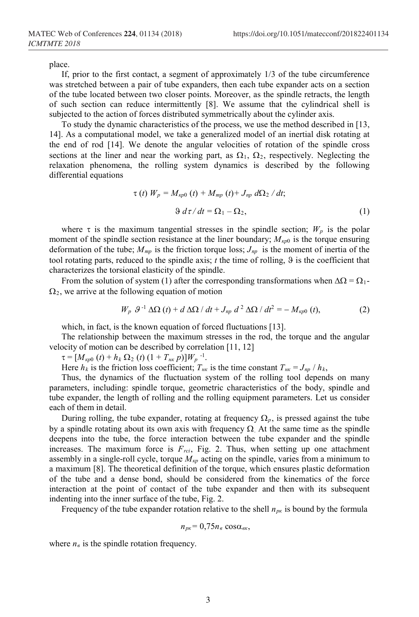place.

If, prior to the first contact, a segment of approximately 1/3 of the tube circumference was stretched between a pair of tube expanders, then each tube expander acts on a section of the tube located between two closer points. Moreover, as the spindle retracts, the length of such section can reduce intermittently [8]. We assume that the cylindrical shell is subjected to the action of forces distributed symmetrically about the cylinder axis.

To study the dynamic characteristics of the process, we use the method described in [13, 14]. As a computational model, we take a generalized model of an inertial disk rotating at the end of rod [14]. We denote the angular velocities of rotation of the spindle cross sections at the liner and near the working part, as  $\Omega_1$ ,  $\Omega_2$ , respectively. Neglecting the relaxation phenomena, the rolling system dynamics is described by the following differential equations

$$
\tau(t) W_p = M_{\kappa p0} (t) + M_{mp} (t) + J_{np} d\Omega_2 / dt;
$$
  
 
$$
\vartheta d\tau / dt = \Omega_1 - \Omega_2,
$$
 (1)

where  $\tau$  is the maximum tangential stresses in the spindle section;  $W_p$  is the polar moment of the spindle section resistance at the liner boundary;  $M_{\kappa p0}$  is the torque ensuring deformation of the tube; *Mтр* is the friction torque loss; *Jпр* is the moment of inertia of the tool rotating parts, reduced to the spindle axis;  $t$  the time of rolling,  $\vartheta$  is the coefficient that characterizes the torsional elasticity of the spindle.

From the solution of system (1) after the corresponding transformations when  $\Delta\Omega = \Omega_1$ - $\Omega_2$ , we arrive at the following equation of motion

$$
W_p \ \mathcal{G}^{-1} \Delta\Omega \left( t \right) + d \Delta\Omega / dt + J_{np} \ d^2 \Delta\Omega / dt^2 = - M_{\kappa p 0} \left( t \right), \tag{2}
$$

which, in fact, is the known equation of forced fluctuations [13].

The relationship between the maximum stresses in the rod, the torque and the angular velocity of motion can be described by correlation [11, 12]

 $\tau = [M_{kp0} (t) + h_k \Omega_2 (t) (1 + T_{hk} p)]W_p$ <sup>-1</sup>.

Here  $h_k$  is the friction loss coefficient;  $T_{\mu k}$  is the time constant  $T_{\mu k} = J_{np} / h_k$ ,

Thus, the dynamics of the fluctuation system of the rolling tool depends on many parameters, including: spindle torque, geometric characteristics of the body, spindle and tube expander, the length of rolling and the rolling equipment parameters. Let us consider each of them in detail.

During rolling, the tube expander, rotating at frequency  $\Omega_p$ , is pressed against the tube by a spindle rotating about its own axis with frequency  $\Omega$ . At the same time as the spindle deepens into the tube, the force interaction between the tube expander and the spindle increases. The maximum force is  $F_{rci}$ , Fig. 2. Thus, when setting up one attachment assembly in a single-roll cycle, torque *Мкр* acting on the spindle, varies from a minimum to a maximum [8]. The theoretical definition of the torque, which ensures plastic deformation of the tube and a dense bond, should be considered from the kinematics of the force interaction at the point of contact of the tube expander and then with its subsequent indenting into the inner surface of the tube, Fig. 2.

Frequency of the tube expander rotation relative to the shell *nрк* is bound by the formula

$$
n_{p\kappa}=0,75n_e\cos\alpha_{e\kappa},
$$

where  $n_{\theta}$  is the spindle rotation frequency.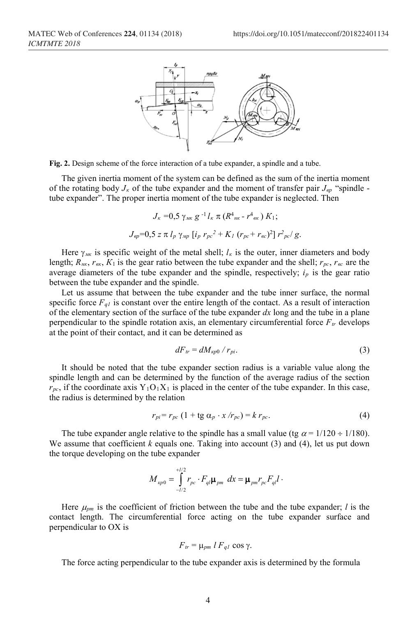

**Fig. 2.** Design scheme of the force interaction of a tube expander, a spindle and a tube.

The given inertia moment of the system can be defined as the sum of the inertia moment of the rotating body  $J_k$  of the tube expander and the moment of transfer pair  $J_{\alpha p}$  "spindle tube expander". The proper inertia moment of the tube expander is neglected. Then

$$
J_{\kappa} = 0.5 \gamma_{\mu\kappa} g^{-1} l_{\kappa} \pi (R^4{}_{\mu\kappa} - r^4{}_{\alpha\kappa}) K_1;
$$
  

$$
J_{ep} = 0.5 z \pi l_p \gamma_{\mu p} [i_p r_{pc}^2 + K_l (r_{pc} + r_{ec})^2] r^2_{pc} / g.
$$

Here  $\gamma_{\mu\kappa}$  is specific weight of the metal shell;  $l_{\kappa}$  is the outer, inner diameters and body length; *Rнк*, *rвк*, *К*<sup>1</sup> is the gear ratio between the tube expander and the shell; *rрс*, *rвс* are the average diameters of the tube expander and the spindle, respectively;  $i_p$  is the gear ratio between the tube expander and the spindle.

Let us assume that between the tube expander and the tube inner surface, the normal specific force  $F_{q1}$  is constant over the entire length of the contact. As a result of interaction of the elementary section of the surface of the tube expander *dx* long and the tube in a plane perpendicular to the spindle rotation axis, an elementary circumferential force  $F_{tr}$  develops at the point of their contact, and it can be determined as

$$
dF_{tr} = dM_{kp0} / r_{pi}. \tag{3}
$$

It should be noted that the tube expander section radius is a variable value along the spindle length and can be determined by the function of the average radius of the section  $r_{pc}$ , if the coordinate axis  $Y_1O_1X_1$  is placed in the center of the tube expander. In this case, the radius is determined by the relation

$$
r_{pi} = r_{pc} \left( 1 + \text{tg } \alpha_p \cdot x / r_{pc} \right) = k r_{pc}. \tag{4}
$$

The tube expander angle relative to the spindle has a small value (tg  $\alpha = 1/120 \div 1/180$ ). We assume that coefficient  $k$  equals one. Taking into account  $(3)$  and  $(4)$ , let us put down the torque developing on the tube expander

$$
M_{\kappa p0} = \int_{-l/2}^{+l/2} r_{pc} \cdot F_{ql} \mu_{pm} \, dx = \mu_{pm} r_{pc} F_{ql} l \, .
$$

Here  $\mu_{pm}$  is the coefficient of friction between the tube and the tube expander; *l* is the contact length. The circumferential force acting on the tube expander surface and perpendicular to OX is

$$
F_{tr} = \mu_{pm} l F_{ql} \cos \gamma.
$$

The force acting perpendicular to the tube expander axis is determined by the formula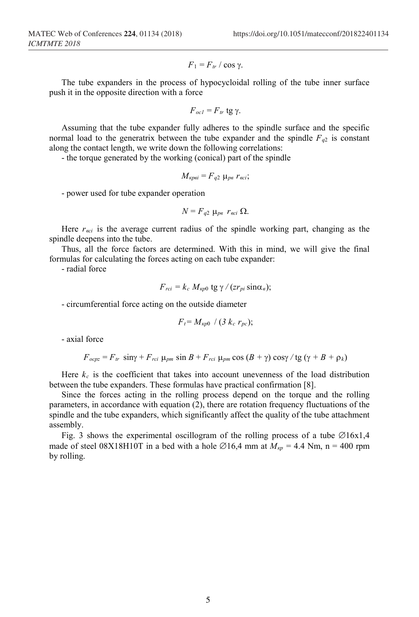$$
F_1 = F_{tr} / \cos \gamma.
$$

The tube expanders in the process of hypocycloidal rolling of the tube inner surface push it in the opposite direction with a force

$$
F_{oc1}=F_{tr} \text{tg } \gamma.
$$

Assuming that the tube expander fully adheres to the spindle surface and the specific normal load to the generatrix between the tube expander and the spindle  $F_{q2}$  is constant along the contact length, we write down the following correlations:

- the torque generated by the working (conical) part of the spindle

$$
M_{\kappa p\epsilon i}=F_{q2}\mu_{p\epsilon} r_{\epsilon c i};
$$

- power used for tube expander operation

$$
N = F_{q2} \mu_{pe} r_{eci} \Omega.
$$

Here  $r_{\text{eci}}$  is the average current radius of the spindle working part, changing as the spindle deepens into the tube.

Thus, all the force factors are determined. With this in mind, we will give the final formulas for calculating the forces acting on each tube expander:

- radial force

$$
F_{rci} = k_c M_{k p0} \text{ tg } \gamma / (z r_{pi} \sin \alpha_e);
$$

- circumferential force acting on the outside diameter

$$
F_t = M_{kp0} / (3 k_c r_{pc});
$$

- axial force

 $F_{ocpz} = F_{tr} \sin\gamma + F_{rci} \mu_{pm} \sin B + F_{rci} \mu_{pm} \cos (B + \gamma) \cos\gamma / \tan(\gamma + B + \rho_k)$ 

Here  $k_c$  is the coefficient that takes into account unevenness of the load distribution between the tube expanders. These formulas have practical confirmation [8].

Since the forces acting in the rolling process depend on the torque and the rolling parameters, in accordance with equation (2), there are rotation frequency fluctuations of the spindle and the tube expanders, which significantly affect the quality of the tube attachment assembly.

Fig. 3 shows the experimental oscillogram of the rolling process of a tube  $\emptyset$ 16x1,4 made of steel 08X18H10T in a bed with a hole  $\varnothing$ 16,4 mm at  $M_{\kappa p} = 4.4$  Nm, n = 400 rpm by rolling.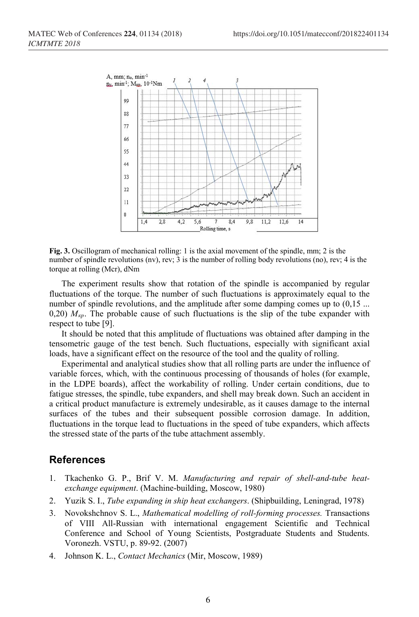

**Fig. 3.** Oscillogram of mechanical rolling: 1 is the axial movement of the spindle, mm; 2 is the number of spindle revolutions (nv), rev; 3 is the number of rolling body revolutions (no), rev; 4 is the torque at rolling (Mcr), dNm

The experiment results show that rotation of the spindle is accompanied by regular fluctuations of the torque. The number of such fluctuations is approximately equal to the number of spindle revolutions, and the amplitude after some damping comes up to  $(0,15)$ ... 0,20)  $M_{kp}$ . The probable cause of such fluctuations is the slip of the tube expander with respect to tube [9].

It should be noted that this amplitude of fluctuations was obtained after damping in the tensometric gauge of the test bench. Such fluctuations, especially with significant axial loads, have a significant effect on the resource of the tool and the quality of rolling.

Experimental and analytical studies show that all rolling parts are under the influence of variable forces, which, with the continuous processing of thousands of holes (for example, in the LDPE boards), affect the workability of rolling. Under certain conditions, due to fatigue stresses, the spindle, tube expanders, and shell may break down. Such an accident in a critical product manufacture is extremely undesirable, as it causes damage to the internal surfaces of the tubes and their subsequent possible corrosion damage. In addition, fluctuations in the torque lead to fluctuations in the speed of tube expanders, which affects the stressed state of the parts of the tube attachment assembly.

## **References**

- 1. Tkachenko G. P., Brif V. M. *Manufacturing and repair of shell-and-tube heatexchange equipment*. (Machine-building, Moscow, 1980)
- 2. Yuzik S. I., *Tube expanding in ship heat exchangers*. (Shipbuilding, Leningrad, 1978)
- 3. Novokshchnov S. L., *Mathematical modelling of roll-forming processes.* Transactions of VIII All-Russian with international engagement Scientific and Technical Conference and School of Young Scientists, Postgraduate Students and Students. Voronezh. VSTU, p. 89-92. (2007)
- 4. Johnson K. L., *Contact Mechanics* (Mir, Moscow, 1989)